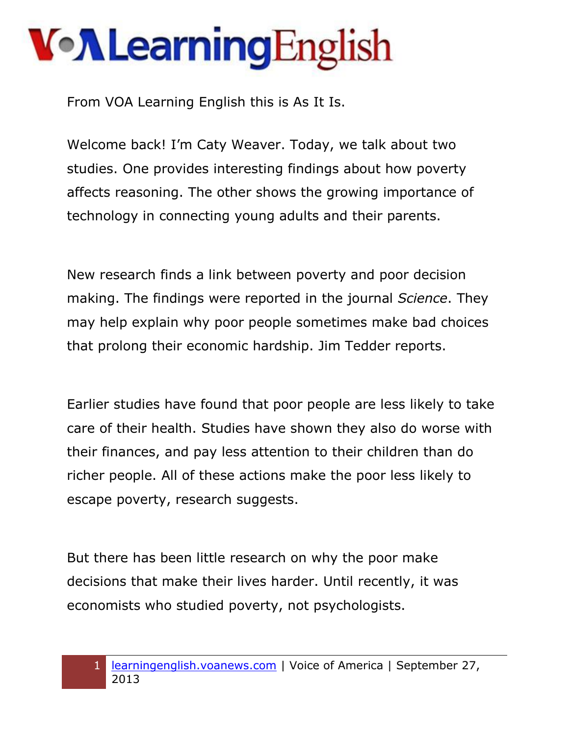From VOA Learning English this is As It Is.

Welcome back! I'm Caty Weaver. Today, we talk about two studies. One provides interesting findings about how poverty affects reasoning. The other shows the growing importance of technology in connecting young adults and their parents.

New research finds a link between poverty and poor decision making. The findings were reported in the journal *Science*. They may help explain why poor people sometimes make bad choices that prolong their economic hardship. Jim Tedder reports.

Earlier studies have found that poor people are less likely to take care of their health. Studies have shown they also do worse with their finances, and pay less attention to their children than do richer people. All of these actions make the poor less likely to escape poverty, research suggests.

But there has been little research on why the poor make decisions that make their lives harder. Until recently, it was economists who studied poverty, not psychologists.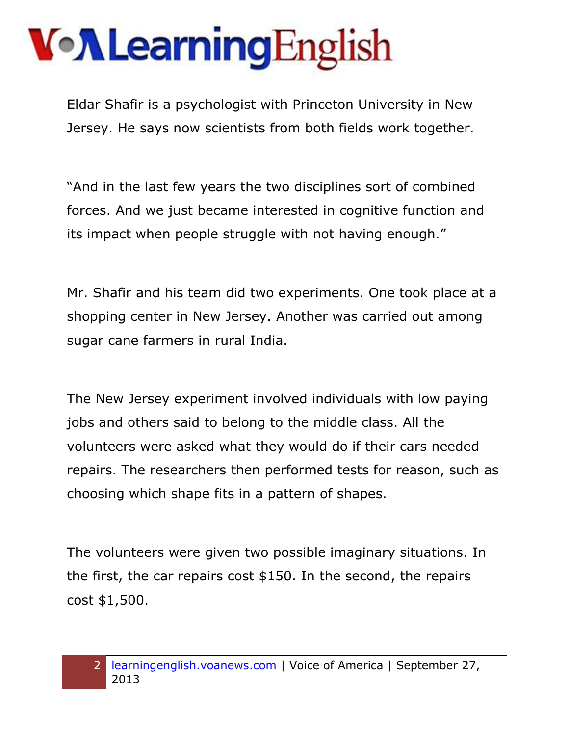Eldar Shafir is a psychologist with Princeton University in New Jersey. He says now scientists from both fields work together.

"And in the last few years the two disciplines sort of combined forces. And we just became interested in cognitive function and its impact when people struggle with not having enough."

Mr. Shafir and his team did two experiments. One took place at a shopping center in New Jersey. Another was carried out among sugar cane farmers in rural India.

The New Jersey experiment involved individuals with low paying jobs and others said to belong to the middle class. All the volunteers were asked what they would do if their cars needed repairs. The researchers then performed tests for reason, such as choosing which shape fits in a pattern of shapes.

The volunteers were given two possible imaginary situations. In the first, the car repairs cost \$150. In the second, the repairs cost \$1,500.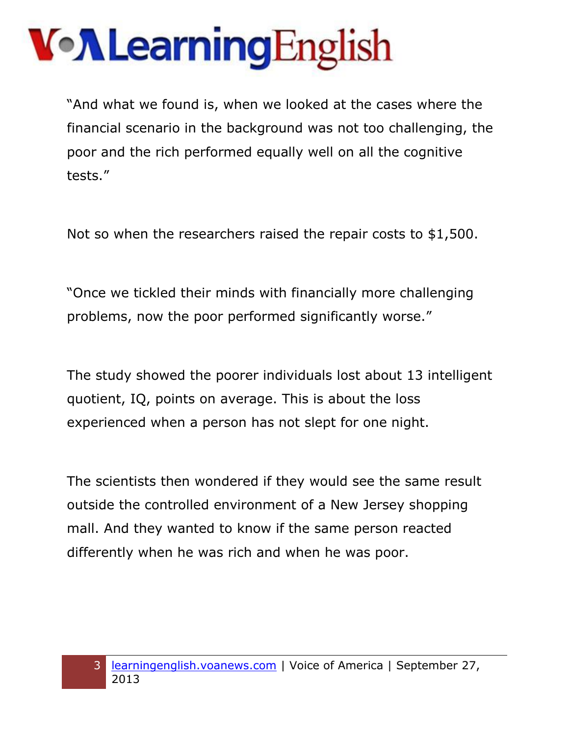"And what we found is, when we looked at the cases where the financial scenario in the background was not too challenging, the poor and the rich performed equally well on all the cognitive tests."

Not so when the researchers raised the repair costs to \$1,500.

"Once we tickled their minds with financially more challenging problems, now the poor performed significantly worse."

The study showed the poorer individuals lost about 13 intelligent quotient, IQ, points on average. This is about the loss experienced when a person has not slept for one night.

The scientists then wondered if they would see the same result outside the controlled environment of a New Jersey shopping mall. And they wanted to know if the same person reacted differently when he was rich and when he was poor.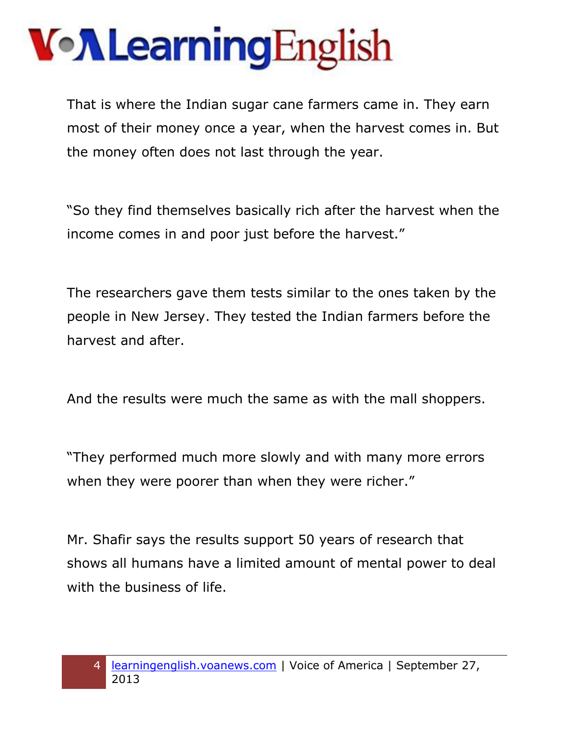That is where the Indian sugar cane farmers came in. They earn most of their money once a year, when the harvest comes in. But the money often does not last through the year.

"So they find themselves basically rich after the harvest when the income comes in and poor just before the harvest."

The researchers gave them tests similar to the ones taken by the people in New Jersey. They tested the Indian farmers before the harvest and after.

And the results were much the same as with the mall shoppers.

"They performed much more slowly and with many more errors when they were poorer than when they were richer."

Mr. Shafir says the results support 50 years of research that shows all humans have a limited amount of mental power to deal with the business of life.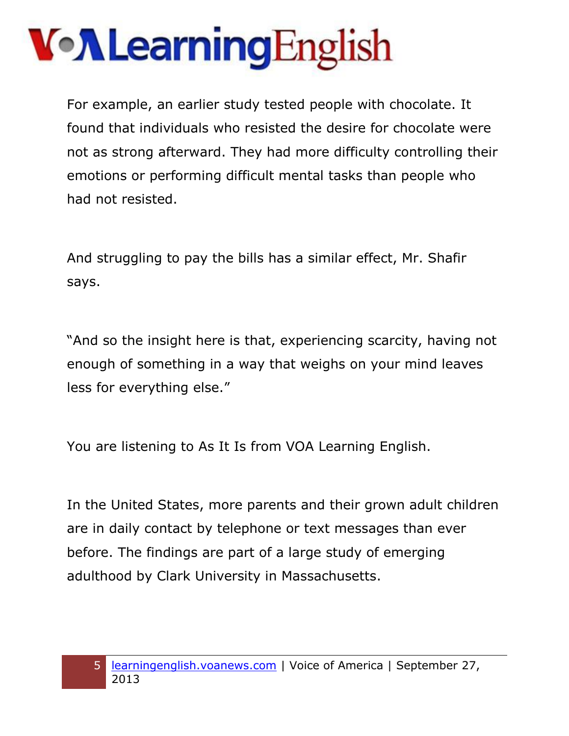For example, an earlier study tested people with chocolate. It found that individuals who resisted the desire for chocolate were not as strong afterward. They had more difficulty controlling their emotions or performing difficult mental tasks than people who had not resisted.

And struggling to pay the bills has a similar effect, Mr. Shafir says.

"And so the insight here is that, experiencing scarcity, having not enough of something in a way that weighs on your mind leaves less for everything else."

You are listening to As It Is from VOA Learning English.

In the United States, more parents and their grown adult children are in daily contact by telephone or text messages than ever before. The findings are part of a large study of emerging adulthood by Clark University in Massachusetts.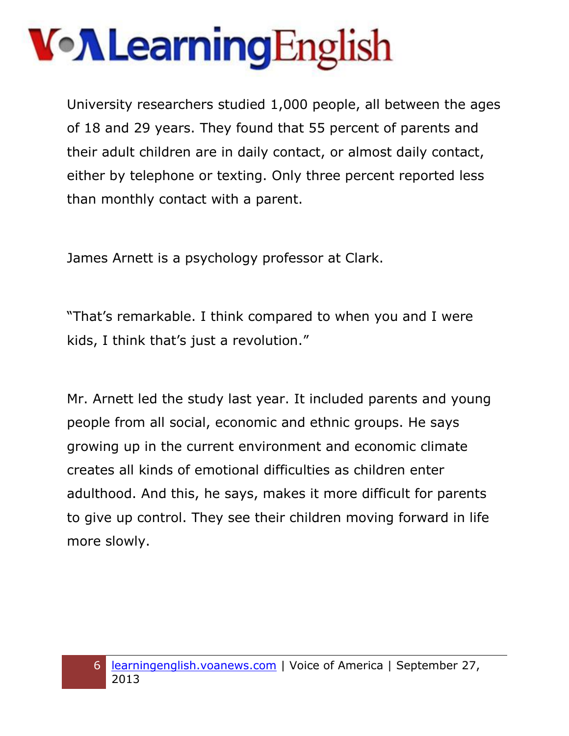University researchers studied 1,000 people, all between the ages of 18 and 29 years. They found that 55 percent of parents and their adult children are in daily contact, or almost daily contact, either by telephone or texting. Only three percent reported less than monthly contact with a parent.

James Arnett is a psychology professor at Clark.

"That's remarkable. I think compared to when you and I were kids, I think that's just a revolution."

Mr. Arnett led the study last year. It included parents and young people from all social, economic and ethnic groups. He says growing up in the current environment and economic climate creates all kinds of emotional difficulties as children enter adulthood. And this, he says, makes it more difficult for parents to give up control. They see their children moving forward in life more slowly.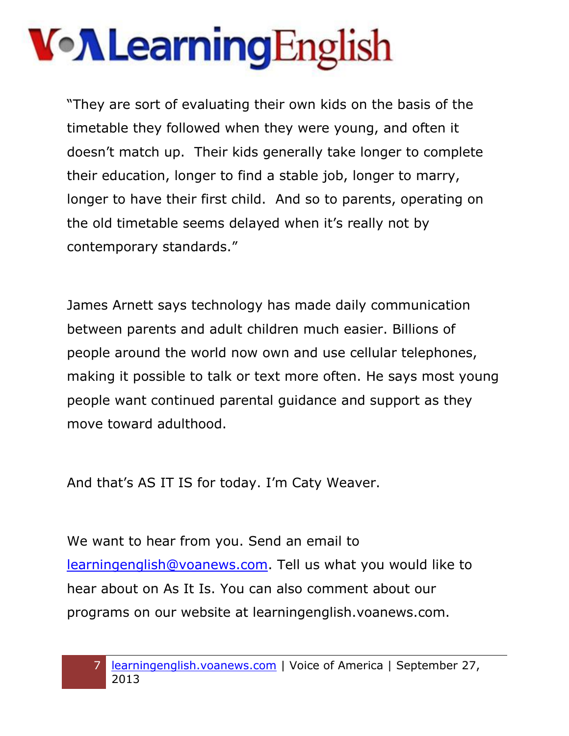"They are sort of evaluating their own kids on the basis of the timetable they followed when they were young, and often it doesn't match up. Their kids generally take longer to complete their education, longer to find a stable job, longer to marry, longer to have their first child. And so to parents, operating on the old timetable seems delayed when it's really not by contemporary standards."

James Arnett says technology has made daily communication between parents and adult children much easier. Billions of people around the world now own and use cellular telephones, making it possible to talk or text more often. He says most young people want continued parental guidance and support as they move toward adulthood.

And that's AS IT IS for today. I'm Caty Weaver.

We want to hear from you. Send an email to [learningenglish@voanews.com.](mailto:learningenglish@voanews.com) Tell us what you would like to hear about on As It Is. You can also comment about our programs on our website at learningenglish.voanews.com.